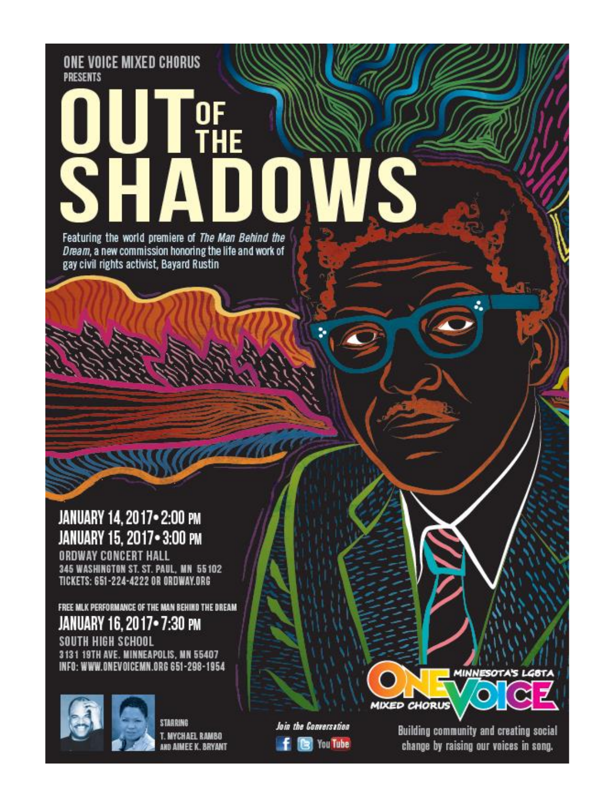ONE VOICE MIXED CHORUS **PRESENTS** 

# HE Featuring the world premiere of The Man Behind the

Dream, a new commission honoring the life and work of gay civil rights activist, Bayard Rustin

JANUARY 14, 2017 . 2:00 PM JANUARY 15, 2017 - 3:00 PM **ORDWAY CONCERT HALL** 

345 WASHINGTON ST. ST. PAUL, MN 55102 TICKETS: 651-224-4222 OR ORDWAY.ORG

FREE MLK PERFORMANCE OF THE MAN BEHIND THE DREAM JANUARY 16, 2017•7:30 PM SOUTH HIGH SCHOOL 3131 19TH AVE. MINNEAPOLIS, MN 55407 INFO: WWW.ONEVOICEMN.ORG 651-298-1954



**STARRING** T. MYCHAEL RAMBO AND AIMEE K. BRYANT Join the Conversation **Call You Tube** 

Building community and creating social change by raising our voices in song.

**MIXED CHORUS** 

**MINNESOTA'S LG6TA**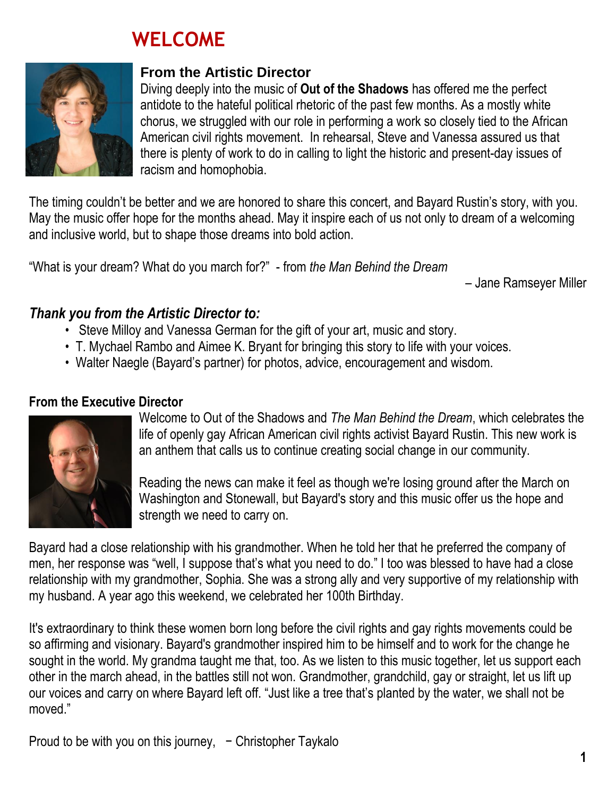# **WELCOME**



#### **From the Artistic Director**

Diving deeply into the music of **Out of the Shadows** has offered me the perfect antidote to the hateful political rhetoric of the past few months. As a mostly white chorus, we struggled with our role in performing a work so closely tied to the African American civil rights movement. In rehearsal, Steve and Vanessa assured us that there is plenty of work to do in calling to light the historic and present-day issues of racism and homophobia.

The timing couldn't be better and we are honored to share this concert, and Bayard Rustin's story, with you. May the music offer hope for the months ahead. May it inspire each of us not only to dream of a welcoming and inclusive world, but to shape those dreams into bold action.

"What is your dream? What do you march for?" - from *the Man Behind the Dream*

– Jane Ramseyer Miller

#### *Thank you from the Artistic Director to:*

- Steve Milloy and Vanessa German for the gift of your art, music and story.
- T. Mychael Rambo and Aimee K. Bryant for bringing this story to life with your voices.
- Walter Naegle (Bayard's partner) for photos, advice, encouragement and wisdom.

#### **From the Executive Director**



Welcome to Out of the Shadows and *The Man Behind the Dream*, which celebrates the life of openly gay African American civil rights activist Bayard Rustin. This new work is an anthem that calls us to continue creating social change in our community.

Reading the news can make it feel as though we're losing ground after the March on Washington and Stonewall, but Bayard's story and this music offer us the hope and strength we need to carry on.

Bayard had a close relationship with his grandmother. When he told her that he preferred the company of men, her response was "well, I suppose that's what you need to do." I too was blessed to have had a close relationship with my grandmother, Sophia. She was a strong ally and very supportive of my relationship with my husband. A year ago this weekend, we celebrated her 100th Birthday.

It's extraordinary to think these women born long before the civil rights and gay rights movements could be so affirming and visionary. Bayard's grandmother inspired him to be himself and to work for the change he sought in the world. My grandma taught me that, too. As we listen to this music together, let us support each other in the march ahead, in the battles still not won. Grandmother, grandchild, gay or straight, let us lift up our voices and carry on where Bayard left off. "Just like a tree that's planted by the water, we shall not be moved."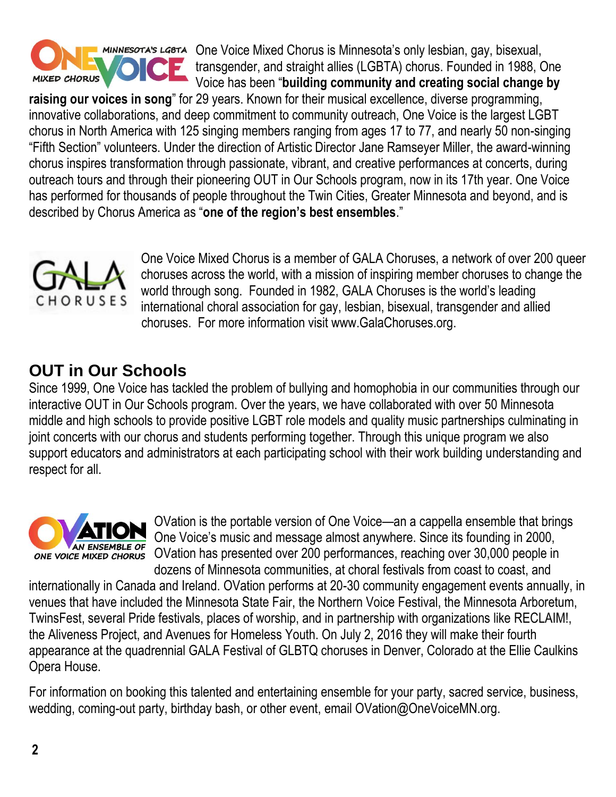

MINIESOTA'S LGBTA One Voice Mixed Chorus is Minnesota's only lesbian, gay, bisexual, transgender, and straight allies (LGBTA) chorus. Founded in 1988, One Voice has been "**building community and creating social change by** 

**raising our voices in song**" for 29 years. Known for their musical excellence, diverse programming, innovative collaborations, and deep commitment to community outreach, One Voice is the largest LGBT chorus in North America with 125 singing members ranging from ages 17 to 77, and nearly 50 non-singing "Fifth Section" volunteers. Under the direction of Artistic Director Jane Ramseyer Miller, the award-winning chorus inspires transformation through passionate, vibrant, and creative performances at concerts, during outreach tours and through their pioneering OUT in Our Schools program, now in its 17th year. One Voice has performed for thousands of people throughout the Twin Cities, Greater Minnesota and beyond, and is described by Chorus America as "**one of the region's best ensembles**."



One Voice Mixed Chorus is a member of GALA Choruses, a network of over 200 queer choruses across the world, with a mission of inspiring member choruses to change the world through song. Founded in 1982, GALA Choruses is the world's leading international choral association for gay, lesbian, bisexual, transgender and allied choruses. For more information visit www.GalaChoruses.org.

## **OUT in Our Schools**

Since 1999, One Voice has tackled the problem of bullying and homophobia in our communities through our interactive OUT in Our Schools program. Over the years, we have collaborated with over 50 Minnesota middle and high schools to provide positive LGBT role models and quality music partnerships culminating in joint concerts with our chorus and students performing together. Through this unique program we also support educators and administrators at each participating school with their work building understanding and respect for all.



OVation is the portable version of One Voice—an a cappella ensemble that brings One Voice's music and message almost anywhere. Since its founding in 2000, OVation has presented over 200 performances, reaching over 30,000 people in dozens of Minnesota communities, at choral festivals from coast to coast, and

internationally in Canada and Ireland. OVation performs at 20-30 community engagement events annually, in venues that have included the Minnesota State Fair, the Northern Voice Festival, the Minnesota Arboretum, TwinsFest, several Pride festivals, places of worship, and in partnership with organizations like RECLAIM!, the Aliveness Project, and Avenues for Homeless Youth. On July 2, 2016 they will make their fourth appearance at the quadrennial GALA Festival of GLBTQ choruses in Denver, Colorado at the Ellie Caulkins Opera House.

For information on booking this talented and entertaining ensemble for your party, sacred service, business, wedding, coming-out party, birthday bash, or other event, email OVation@OneVoiceMN.org.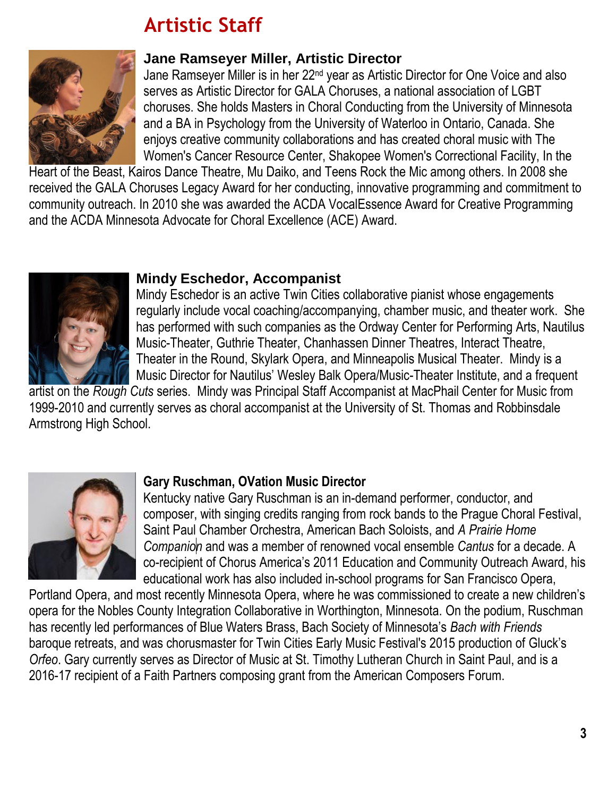# **Artistic Staff**



#### **Jane Ramseyer Miller, Artistic Director**

Jane Ramseyer Miller is in her 22nd year as Artistic Director for One Voice and also serves as Artistic Director for GALA Choruses, a national association of LGBT choruses. She holds Masters in Choral Conducting from the University of Minnesota and a BA in Psychology from the University of Waterloo in Ontario, Canada. She enjoys creative community collaborations and has created choral music with The Women's Cancer Resource Center, Shakopee Women's Correctional Facility, In the

Heart of the Beast, Kairos Dance Theatre, Mu Daiko, and Teens Rock the Mic among others. In 2008 she received the GALA Choruses Legacy Award for her conducting, innovative programming and commitment to community outreach. In 2010 she was awarded the ACDA VocalEssence Award for Creative Programming and the ACDA Minnesota Advocate for Choral Excellence (ACE) Award.



#### **Mindy Eschedor, Accompanist**

Mindy Eschedor is an active Twin Cities collaborative pianist whose engagements regularly include vocal coaching/accompanying, chamber music, and theater work. She has performed with such companies as the Ordway Center for Performing Arts, Nautilus Music-Theater, Guthrie Theater, Chanhassen Dinner Theatres, Interact Theatre, Theater in the Round, Skylark Opera, and Minneapolis Musical Theater. Mindy is a Music Director for Nautilus' Wesley Balk Opera/Music-Theater Institute, and a frequent

artist on the *Rough Cuts* series. Mindy was Principal Staff Accompanist at MacPhail Center for Music from 1999-2010 and currently serves as choral accompanist at the University of St. Thomas and Robbinsdale Armstrong High School.



#### **Gary Ruschman, OVation Music Director**

Kentucky native Gary Ruschman is an in-demand performer, conductor, and composer, with singing credits ranging from rock bands to the Prague Choral Festival, Saint Paul Chamber Orchestra, American Bach Soloists, and *A Prairie Home Companion* and was a member of renowned vocal ensemble *Cantus* for a decade. A co-recipient of Chorus America's 2011 Education and Community Outreach Award, his educational work has also included in-school programs for San Francisco Opera,

Portland Opera, and most recently Minnesota Opera, where he was commissioned to create a new children's opera for the Nobles County Integration Collaborative in Worthington, Minnesota. On the podium, Ruschman has recently led performances of Blue Waters Brass, Bach Society of Minnesota's *Bach with Friends* baroque retreats, and was chorusmaster for Twin Cities Early Music Festival's 2015 production of Gluck's *Orfeo*. Gary currently serves as Director of Music at St. Timothy Lutheran Church in Saint Paul, and is a 2016-17 recipient of a Faith Partners composing grant from the American Composers Forum.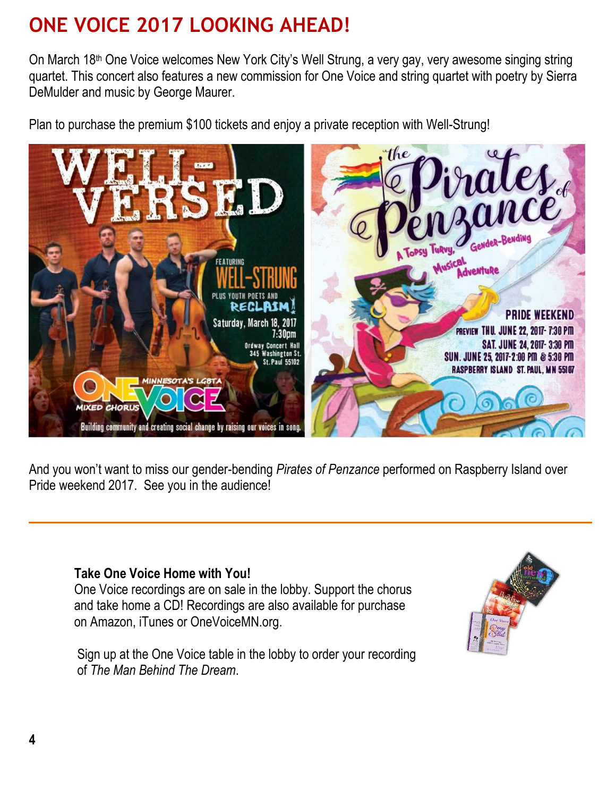# **ONE VOICE 2017 LOOKING AHEAD!**

On March 18th One Voice welcomes New York City's Well Strung, a very gay, very awesome singing string quartet. This concert also features a new commission for One Voice and string quartet with poetry by Sierra DeMulder and music by George Maurer.

Plan to purchase the premium \$100 tickets and enjoy a private reception with Well-Strung!



And you won't want to miss our gender-bending *Pirates of Penzance* performed on Raspberry Island over Pride weekend 2017. See you in the audience!

#### **Take One Voice Home with You!**

One Voice recordings are on sale in the lobby. Support the chorus and take home a CD! Recordings are also available for purchase on Amazon, iTunes or OneVoiceMN.org.

 Sign up at the One Voice table in the lobby to order your recording of *The Man Behind The Dream*.

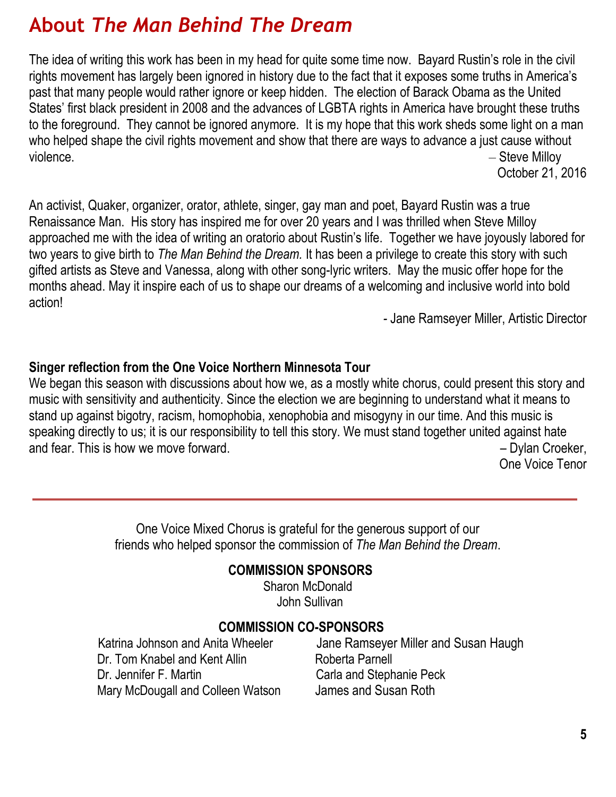## **About** *The Man Behind The Dream*

The idea of writing this work has been in my head for quite some time now. Bayard Rustin's role in the civil rights movement has largely been ignored in history due to the fact that it exposes some truths in America's past that many people would rather ignore or keep hidden. The election of Barack Obama as the United States' first black president in 2008 and the advances of LGBTA rights in America have brought these truths to the foreground. They cannot be ignored anymore. It is my hope that this work sheds some light on a man who helped shape the civil rights movement and show that there are ways to advance a just cause without violence. **Example 20** Steve Milloy

October 21, 2016

An activist, Quaker, organizer, orator, athlete, singer, gay man and poet, Bayard Rustin was a true Renaissance Man. His story has inspired me for over 20 years and I was thrilled when Steve Milloy approached me with the idea of writing an oratorio about Rustin's life. Together we have joyously labored for two years to give birth to *The Man Behind the Dream.* It has been a privilege to create this story with such gifted artists as Steve and Vanessa, along with other song-lyric writers. May the music offer hope for the months ahead. May it inspire each of us to shape our dreams of a welcoming and inclusive world into bold action!

*-* Jane Ramseyer Miller, Artistic Director

#### **Singer reflection from the One Voice Northern Minnesota Tour**

We began this season with discussions about how we, as a mostly white chorus, could present this story and music with sensitivity and authenticity. Since the election we are beginning to understand what it means to stand up against bigotry, racism, homophobia, xenophobia and misogyny in our time. And this music is speaking directly to us; it is our responsibility to tell this story. We must stand together united against hate and fear. This is how we move forward. This is how we move forward.  $\blacksquare$  Dylan Croeker,

One Voice Tenor

One Voice Mixed Chorus is grateful for the generous support of our friends who helped sponsor the commission of *The Man Behind the Dream*.

#### **COMMISSION SPONSORS**

Sharon McDonald John Sullivan

#### **COMMISSION CO-SPONSORS**

Dr. Tom Knabel and Kent Allin Roberta Parnell Dr. Jennifer F. Martin Carla and Stephanie Peck Mary McDougall and Colleen Watson James and Susan Roth

Katrina Johnson and Anita Wheeler Jane Ramseyer Miller and Susan Haugh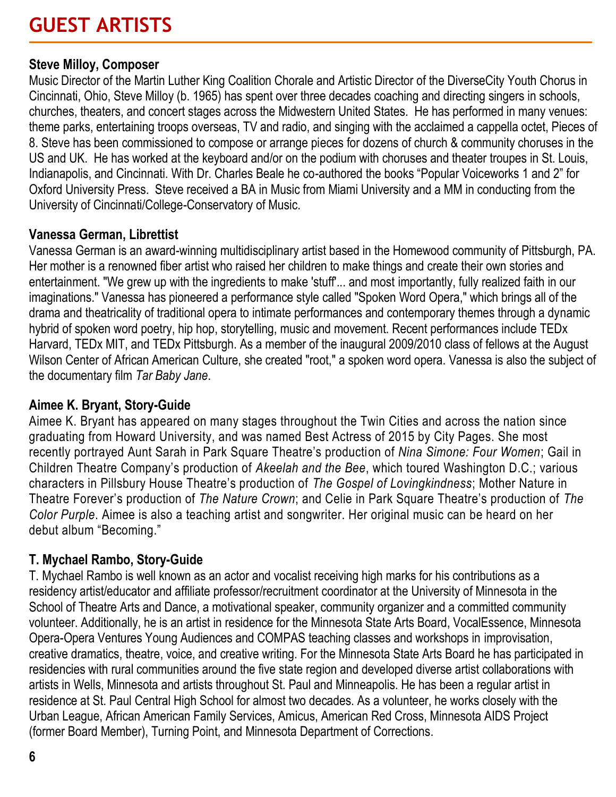# **GUEST ARTISTS**

#### **Steve Milloy, Composer**

Music Director of the Martin Luther King Coalition Chorale and Artistic Director of the DiverseCity Youth Chorus in Cincinnati, Ohio, Steve Milloy (b. 1965) has spent over three decades coaching and directing singers in schools, churches, theaters, and concert stages across the Midwestern United States. He has performed in many venues: theme parks, entertaining troops overseas, TV and radio, and singing with the acclaimed a cappella octet, Pieces of 8. Steve has been commissioned to compose or arrange pieces for dozens of church & community choruses in the US and UK. He has worked at the keyboard and/or on the podium with choruses and theater troupes in St. Louis, Indianapolis, and Cincinnati. With Dr. Charles Beale he co-authored the books "Popular Voiceworks 1 and 2" for Oxford University Press. Steve received a BA in Music from Miami University and a MM in conducting from the University of Cincinnati/College-Conservatory of Music.

#### **Vanessa German, Librettist**

Vanessa German is an award-winning multidisciplinary artist based in the Homewood community of Pittsburgh, PA. Her mother is a renowned fiber artist who raised her children to make things and create their own stories and entertainment. "We grew up with the ingredients to make 'stuff'... and most importantly, fully realized faith in our imaginations." Vanessa has pioneered a performance style called "Spoken Word Opera," which brings all of the drama and theatricality of traditional opera to intimate performances and contemporary themes through a dynamic hybrid of spoken word poetry, hip hop, storytelling, music and movement. Recent performances include TEDx Harvard, TEDx MIT, and TEDx Pittsburgh. As a member of the inaugural 2009/2010 class of fellows at the August Wilson Center of African American Culture, she created "root," a spoken word opera. Vanessa is also the subject of the documentary film *Tar Baby Jane*.

#### **Aimee K. Bryant, Story-Guide**

Aimee K. Bryant has appeared on many stages throughout the Twin Cities and across the nation since graduating from Howard University, and was named Best Actress of 2015 by City Pages. She most recently portrayed Aunt Sarah in Park Square Theatre's production of *Nina Simone: Four Women*; Gail in Children Theatre Company's production of *Akeelah and the Bee*, which toured Washington D.C.; various characters in Pillsbury House Theatre's production of *The Gospel of Lovingkindness*; Mother Nature in Theatre Forever's production of *The Nature Crown*; and Celie in Park Square Theatre's production of *The Color Purple*. Aimee is also a teaching artist and songwriter. Her original music can be heard on her debut album "Becoming."

#### **T. Mychael Rambo, Story-Guide**

T. Mychael Rambo is well known as an actor and vocalist receiving high marks for his contributions as a residency artist/educator and affiliate professor/recruitment coordinator at the University of Minnesota in the School of Theatre Arts and Dance, a motivational speaker, community organizer and a committed community volunteer. Additionally, he is an artist in residence for the Minnesota State Arts Board, VocalEssence, Minnesota Opera-Opera Ventures Young Audiences and COMPAS teaching classes and workshops in improvisation, creative dramatics, theatre, voice, and creative writing. For the Minnesota State Arts Board he has participated in residencies with rural communities around the five state region and developed diverse artist collaborations with artists in Wells, Minnesota and artists throughout St. Paul and Minneapolis. He has been a regular artist in residence at St. Paul Central High School for almost two decades. As a volunteer, he works closely with the Urban League, African American Family Services, Amicus, American Red Cross, Minnesota AIDS Project (former Board Member), Turning Point, and Minnesota Department of Corrections.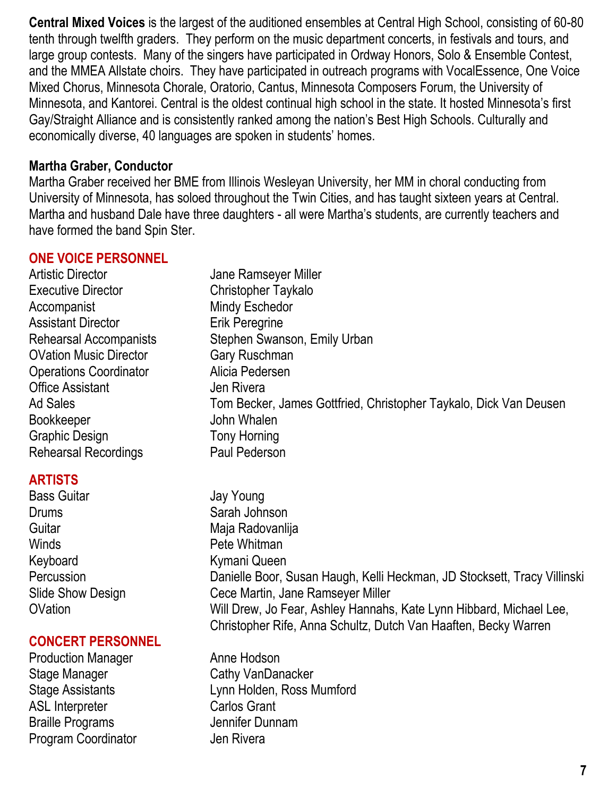**Central Mixed Voices** is the largest of the auditioned ensembles at Central High School, consisting of 60-80 tenth through twelfth graders. They perform on the music department concerts, in festivals and tours, and large group contests. Many of the singers have participated in Ordway Honors, Solo & Ensemble Contest, and the MMEA Allstate choirs. They have participated in outreach programs with VocalEssence, One Voice Mixed Chorus, Minnesota Chorale, Oratorio, Cantus, Minnesota Composers Forum, the University of Minnesota, and Kantorei. Central is the oldest continual high school in the state. It hosted Minnesota's first Gay/Straight Alliance and is consistently ranked among the nation's Best High Schools. Culturally and economically diverse, 40 languages are spoken in students' homes.

#### **Martha Graber, Conductor**

Martha Graber received her BME from Illinois Wesleyan University, her MM in choral conducting from University of Minnesota, has soloed throughout the Twin Cities, and has taught sixteen years at Central. Martha and husband Dale have three daughters - all were Martha's students, are currently teachers and have formed the band Spin Ster.

#### **ONE VOICE PERSONNEL**

- Artistic Director **Artistic Director** Jane Ramseyer Miller Executive Director **Christopher Taykalo** Accompanist Mindy Eschedor Assistant Director **Erik Peregrine** Rehearsal Accompanists Stephen Swanson, Emily Urban OVation Music Director Gary Ruschman Operations Coordinator Alicia Pedersen Office Assistant **Jen Rivera** Ad Sales Tom Becker, James Gottfried, Christopher Taykalo, Dick Van Deusen Bookkeeper John Whalen Graphic Design Tony Horning Rehearsal Recordings Paul Pederson **ARTISTS**  Bass Guitar **Jay Young** Drums Sarah Johnson Guitar Maja Radovanlija Winds **Pete Whitman** Keyboard **Kymani Queen**
- 

#### **CONCERT PERSONNEL**

Production Manager **Anne Hodson** Stage Manager Cathy VanDanacker ASL Interpreter Carlos Grant Braille Programs **Jennifer Dunnam** Program Coordinator **Jen Rivera** 

Percussion Danielle Boor, Susan Haugh, Kelli Heckman, JD Stocksett, Tracy Villinski Slide Show Design Cece Martin, Jane Ramseyer Miller OVation Will Drew, Jo Fear, Ashley Hannahs, Kate Lynn Hibbard, Michael Lee, Christopher Rife, Anna Schultz, Dutch Van Haaften, Becky Warren

Stage Assistants Lynn Holden, Ross Mumford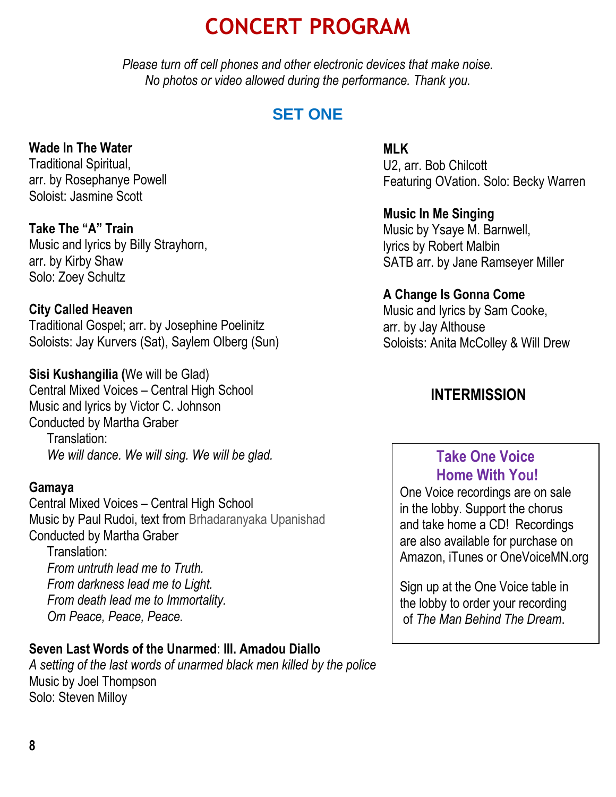# **CONCERT PROGRAM**

*Please turn off cell phones and other electronic devices that make noise. No photos or video allowed during the performance. Thank you.*

## **SET ONE**

#### **Wade In The Water**

Traditional Spiritual, arr. by Rosephanye Powell Soloist: Jasmine Scott

**Take The "A" Train** Music and lyrics by Billy Strayhorn, arr. by Kirby Shaw Solo: Zoey Schultz

#### **City Called Heaven**

Traditional Gospel; arr. by Josephine Poelinitz Soloists: Jay Kurvers (Sat), Saylem Olberg (Sun)

## **Sisi Kushangilia (**We will be Glad)

Central Mixed Voices – Central High School Music and lyrics by Victor C. Johnson Conducted by Martha Graber Translation: *We will dance. We will sing. We will be glad.* 

#### **Gamaya**

Central Mixed Voices – Central High School Music by Paul Rudoi, text from Brhadaranyaka Upanishad Conducted by Martha Graber

Translation: *From untruth lead me to Truth. From darkness lead me to Light. From death lead me to Immortality. Om Peace, Peace, Peace.*

#### **Seven Last Words of the Unarmed**: **III. Amadou Diallo**

*A setting of the last words of unarmed black men killed by the police* Music by Joel Thompson Solo: Steven Milloy

#### **MLK**

U2, arr. Bob Chilcott Featuring OVation. Solo: Becky Warren

**Music In Me Singing** Music by Ysaye M. Barnwell, lyrics by Robert Malbin SATB arr. by Jane Ramseyer Miller

#### **A Change Is Gonna Come**

Music and lyrics by Sam Cooke, arr. by Jay Althouse Soloists: Anita McColley & Will Drew

### **INTERMISSION**

## **Take One Voice Home With You!**

One Voice recordings are on sale in the lobby. Support the chorus and take home a CD! Recordings are also available for purchase on Amazon, iTunes or OneVoiceMN.org

Sign up at the One Voice table in the lobby to order your recording of *The Man Behind The Dream*.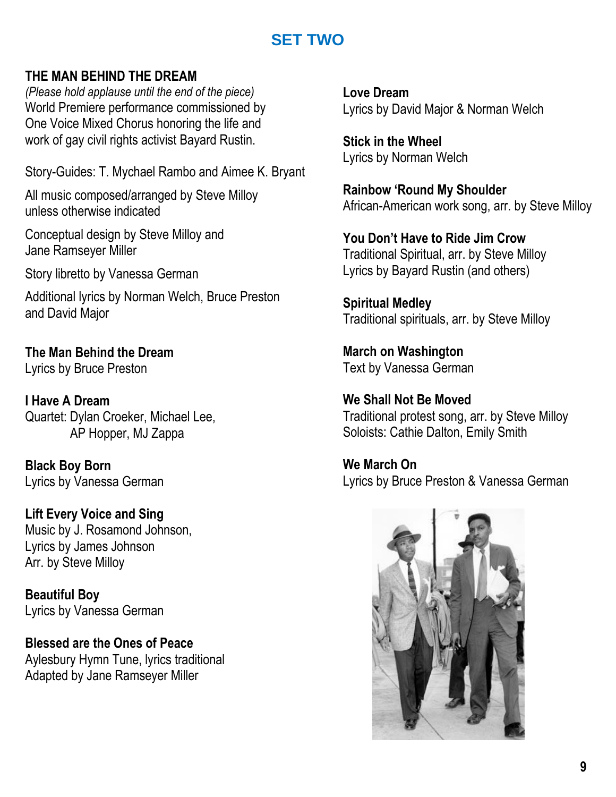## **SET TWO**

#### **THE MAN BEHIND THE DREAM**

*(Please hold applause until the end of the piece)* World Premiere performance commissioned by One Voice Mixed Chorus honoring the life and work of gay civil rights activist Bayard Rustin.

Story-Guides: T. Mychael Rambo and Aimee K. Bryant

All music composed/arranged by Steve Milloy unless otherwise indicated

Conceptual design by Steve Milloy and Jane Ramseyer Miller

Story libretto by Vanessa German

Additional lyrics by Norman Welch, Bruce Preston and David Major

**The Man Behind the Dream** Lyrics by Bruce Preston

**I Have A Dream**  Quartet: Dylan Croeker, Michael Lee, AP Hopper, MJ Zappa

**Black Boy Born** Lyrics by Vanessa German

**Lift Every Voice and Sing** Music by J. Rosamond Johnson, Lyrics by James Johnson Arr. by Steve Milloy

**Beautiful Boy** Lyrics by Vanessa German

**Blessed are the Ones of Peace**  Aylesbury Hymn Tune, lyrics traditional Adapted by Jane Ramseyer Miller

**Love Dream** Lyrics by David Major & Norman Welch

**Stick in the Wheel** Lyrics by Norman Welch

**Rainbow 'Round My Shoulder** African-American work song, arr. by Steve Milloy

**You Don't Have to Ride Jim Crow** Traditional Spiritual, arr. by Steve Milloy Lyrics by Bayard Rustin (and others)

**Spiritual Medley** Traditional spirituals, arr. by Steve Milloy

**March on Washington** Text by Vanessa German

**We Shall Not Be Moved**  Traditional protest song, arr. by Steve Milloy Soloists: Cathie Dalton, Emily Smith

**We March On** Lyrics by Bruce Preston & Vanessa German

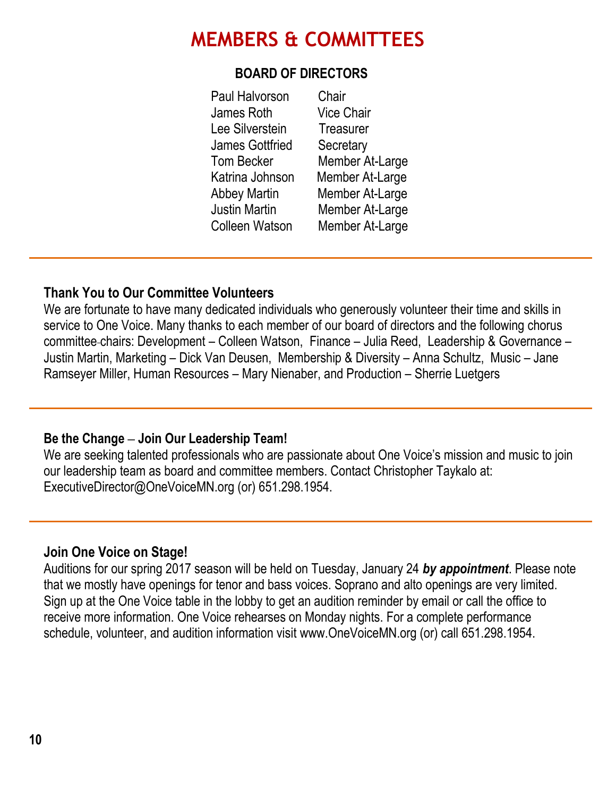## **MEMBERS & COMMITTEES**

#### **BOARD OF DIRECTORS**

 Paul Halvorson Chair James Roth Vice Chair Lee Silverstein Treasurer James Gottfried Secretary Tom Becker Member At-Large Katrina Johnson Member At-Large Abbey Martin Member At-Large Justin Martin Member At-Large Colleen Watson Member At-Large

#### **Thank You to Our Committee Volunteers**

We are fortunate to have many dedicated individuals who generously volunteer their time and skills in service to One Voice. Many thanks to each member of our board of directors and the following chorus committee chairs: Development – Colleen Watson, Finance – Julia Reed, Leadership & Governance – Justin Martin, Marketing – Dick Van Deusen, Membership & Diversity – Anna Schultz, Music – Jane Ramseyer Miller, Human Resources – Mary Nienaber, and Production – Sherrie Luetgers

#### **Be the Change ‒ Join Our Leadership Team!**

We are seeking talented professionals who are passionate about One Voice's mission and music to join our leadership team as board and committee members. Contact Christopher Taykalo at: ExecutiveDirector@OneVoiceMN.org (or) 651.298.1954.

#### **Join One Voice on Stage!**

Auditions for our spring 2017 season will be held on Tuesday, January 24 *by appointment*. Please note that we mostly have openings for tenor and bass voices. Soprano and alto openings are very limited. Sign up at the One Voice table in the lobby to get an audition reminder by email or call the office to receive more information. One Voice rehearses on Monday nights. For a complete performance schedule, volunteer, and audition information visit www.OneVoiceMN.org (or) call 651.298.1954.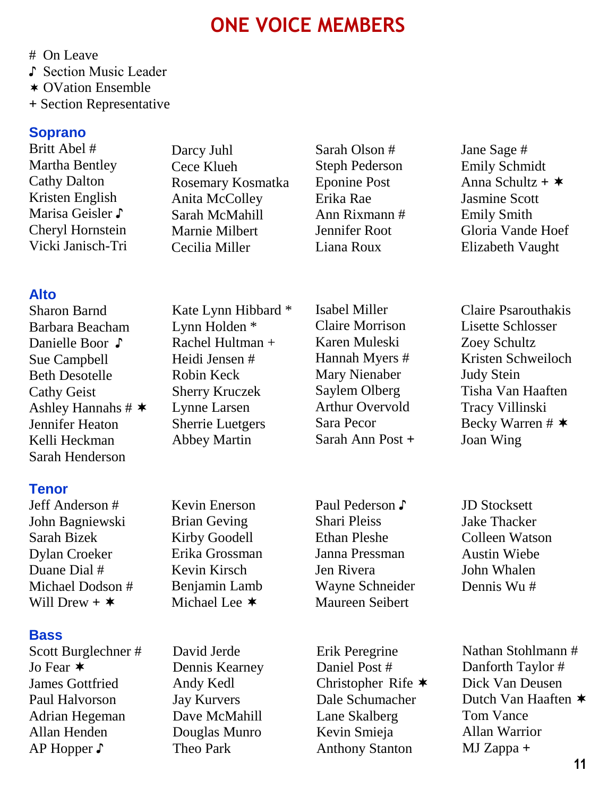## **ONE VOICE MEMBERS**

# On Leave

♪ Section Music Leader

- OVation Ensemble
- **+** Section Representative

#### **Soprano**

Britt Abel # Martha Bentley Cathy Dalton Kristen English Marisa Geisler ♪ Cheryl Hornstein Vicki Janisch-Tri

#### **Alto**

Sharon Barnd Barbara Beacham Danielle Boor ♪ Sue Campbell Beth Desotelle Cathy Geist Ashley Hannahs  $\#$   $\ast$ Jennifer Heaton Kelli Heckman Sarah Henderson

#### **Tenor**

Jeff Anderson # John Bagniewski Sarah Bizek Dylan Croeker Duane Dial # Michael Dodson # Will Drew  $+$   $\star$ 

#### **Bass**

Scott Burglechner # Jo Fear  $\star$ James Gottfried Paul Halvorson Adrian Hegeman Allan Henden AP Hopper ♪

Darcy Juhl Cece Klueh Rosemary Kosmatka Anita McColley Sarah McMahill Marnie Milbert Cecilia Miller

Kate Lynn Hibbard \* Lynn Holden \* Rachel Hultman + Heidi Jensen # Robin Keck Sherry Kruczek Lynne Larsen Sherrie Luetgers Abbey Martin

Kevin Enerson Brian Geving Kirby Goodell Erika Grossman Kevin Kirsch Benjamin Lamb Michael Lee  $*$ 

David Jerde Dennis Kearney Andy Kedl Jay Kurvers Dave McMahill Douglas Munro Theo Park

Sarah Olson # Steph Pederson Eponine Post Erika Rae Ann Rixmann # Jennifer Root Liana Roux

Isabel Miller Claire Morrison Karen Muleski Hannah Myers # Mary Nienaber Saylem Olberg Arthur Overvold Sara Pecor Sarah Ann Post **+**

Paul Pederson ♪ Shari Pleiss Ethan Pleshe Janna Pressman Jen Rivera Wayne Schneider Maureen Seibert

Erik Peregrine Daniel Post # Christopher Rife  $\star$ Dale Schumacher Lane Skalberg Kevin Smieja Anthony Stanton

Jane Sage # Emily Schmidt Anna Schultz **+**  Jasmine Scott Emily Smith Gloria Vande Hoef Elizabeth Vaught

Claire Psarouthakis Lisette Schlosser Zoey Schultz Kristen Schweiloch Judy Stein Tisha Van Haaften Tracy Villinski Becky Warren  $\#$   $\ast$ Joan Wing

JD Stocksett Jake Thacker Colleen Watson Austin Wiebe John Whalen Dennis Wu #

Nathan Stohlmann # Danforth Taylor # Dick Van Deusen Dutch Van Haaften  $*$ Tom Vance Allan Warrior MJ Zappa **+**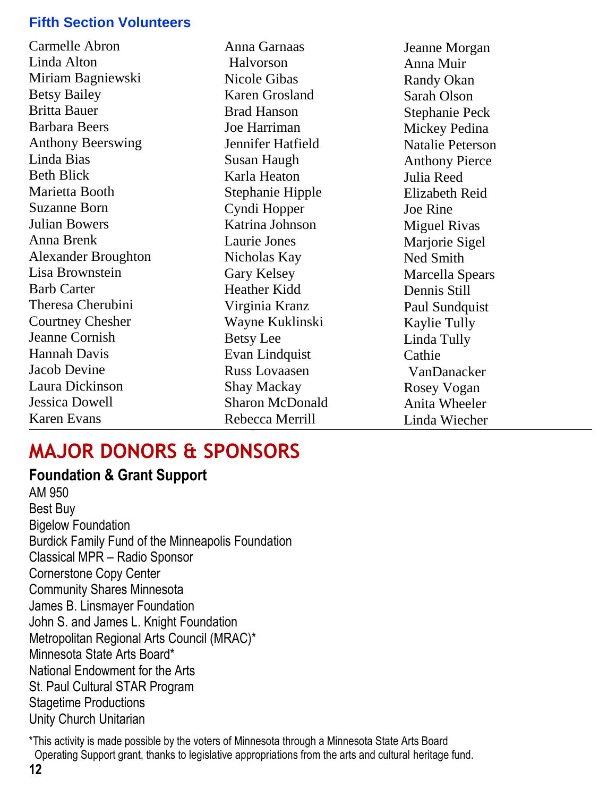#### **Fifth Section Volunteers**

Carmelle Abron Linda Alton Miriam Bagniewski Betsy Bailey Britta Bauer Barbara Beers Anthony Beerswing Linda Bias Beth Blick Marietta Booth Suzanne Born Julian Bowers Anna Brenk Alexander Broughton Lisa Brownstein Barb Carter Theresa Cherubini Courtney Chesher Jeanne Cornish Hannah Davis Jacob Devine Laura Dickinson Jessica Dowell Karen Evans

Anna Garnaas Halvorson Nicole Gibas Karen Grosland Brad Hanson Joe Harriman Jennifer Hatfield Susan Haugh Karla Heaton Stephanie Hipple Cyndi Hopper Katrina Johnson Laurie Jones Nicholas Kay Gary Kelsey Heather Kidd Virginia Kranz Wayne Kuklinski Betsy Lee Evan Lindquist Russ Lovaasen Shay Mackay Sharon McDonald Rebecca Merrill Marilyn Merritt

Jeanne Morgan Anna Muir Randy Okan Sarah Olson Stephanie Peck Mickey Pedina Natalie Peterson Anthony Pierce Julia Reed Elizabeth Reid Joe Rine Miguel Rivas Marjorie Sigel Ned Smith Marcella Spears Dennis Still Paul Sundquist Kaylie Tully Linda Tully Cathie VanDanacker Rosey Vogan Anita Wheeler Linda Wiecher

Juliet Wilhelmi

# **MAJOR DONORS & SPONSORS**

**Foundation & Grant Support**  AM 950 Best Buy Bigelow Foundation Burdick Family Fund of the Minneapolis Foundation Classical MPR – Radio Sponsor Cornerstone Copy Center Community Shares Minnesota James B. Linsmayer Foundation John S. and James L. Knight Foundation Metropolitan Regional Arts Council (MRAC)\* Minnesota State Arts Board\* National Endowment for the Arts St. Paul Cultural STAR Program Stagetime Productions Unity Church Unitarian

\*This activity is made possible by the voters of Minnesota through a Minnesota State Arts Board Operating Support grant, thanks to legislative appropriations from the arts and cultural heritage fund.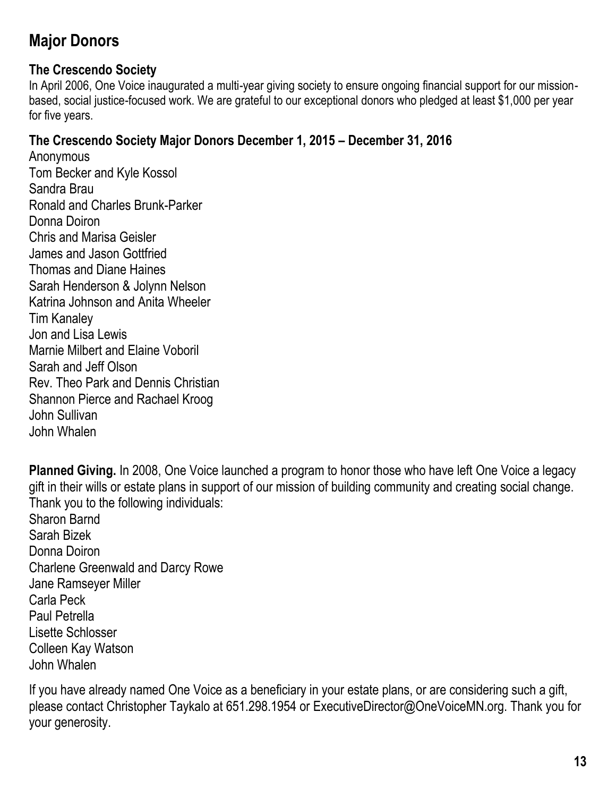## **Major Donors**

#### **The Crescendo Society**

In April 2006, One Voice inaugurated a multi-year giving society to ensure ongoing financial support for our missionbased, social justice-focused work. We are grateful to our exceptional donors who pledged at least \$1,000 per year for five years.

#### **The Crescendo Society Major Donors December 1, 2015 – December 31, 2016**

**Anonymous** Tom Becker and Kyle Kossol Sandra Brau Ronald and Charles Brunk-Parker Donna Doiron Chris and Marisa Geisler James and Jason Gottfried Thomas and Diane Haines Sarah Henderson & Jolynn Nelson Katrina Johnson and Anita Wheeler Tim Kanaley Jon and Lisa Lewis Marnie Milbert and Elaine Voboril Sarah and Jeff Olson Rev. Theo Park and Dennis Christian Shannon Pierce and Rachael Kroog John Sullivan John Whalen

**Planned Giving.** In 2008, One Voice launched a program to honor those who have left One Voice a legacy gift in their wills or estate plans in support of our mission of building community and creating social change. Thank you to the following individuals: Sharon Barnd Sarah Bizek Donna Doiron Charlene Greenwald and Darcy Rowe Jane Ramseyer Miller Carla Peck Paul Petrella Lisette Schlosser Colleen Kay Watson John Whalen

If you have already named One Voice as a beneficiary in your estate plans, or are considering such a gift, please contact Christopher Taykalo at 651.298.1954 or ExecutiveDirector@OneVoiceMN.org. Thank you for your generosity.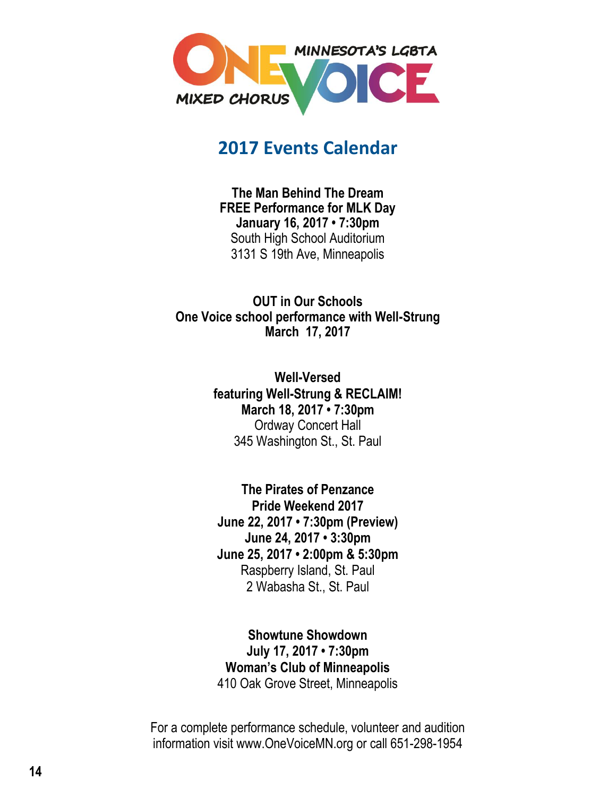

## **2017 Events Calendar**

**The Man Behind The Dream FREE Performance for MLK Day January 16, 2017 • 7:30pm** South High School Auditorium 3131 S 19th Ave, Minneapolis

**OUT in Our Schools One Voice school performance with Well-Strung March 17, 2017**

> **Well-Versed featuring Well-Strung & RECLAIM! March 18, 2017 • 7:30pm** Ordway Concert Hall 345 Washington St., St. Paul

**The Pirates of Penzance Pride Weekend 2017 June 22, 2017 • 7:30pm (Preview) June 24, 2017 • 3:30pm June 25, 2017 • 2:00pm & 5:30pm** Raspberry Island, St. Paul 2 Wabasha St., St. Paul

**Showtune Showdown July 17, 2017 • 7:30pm Woman's Club of Minneapolis** 410 Oak Grove Street, Minneapolis

For a complete performance schedule, volunteer and audition information visit www.OneVoiceMN.org or call 651-298-1954